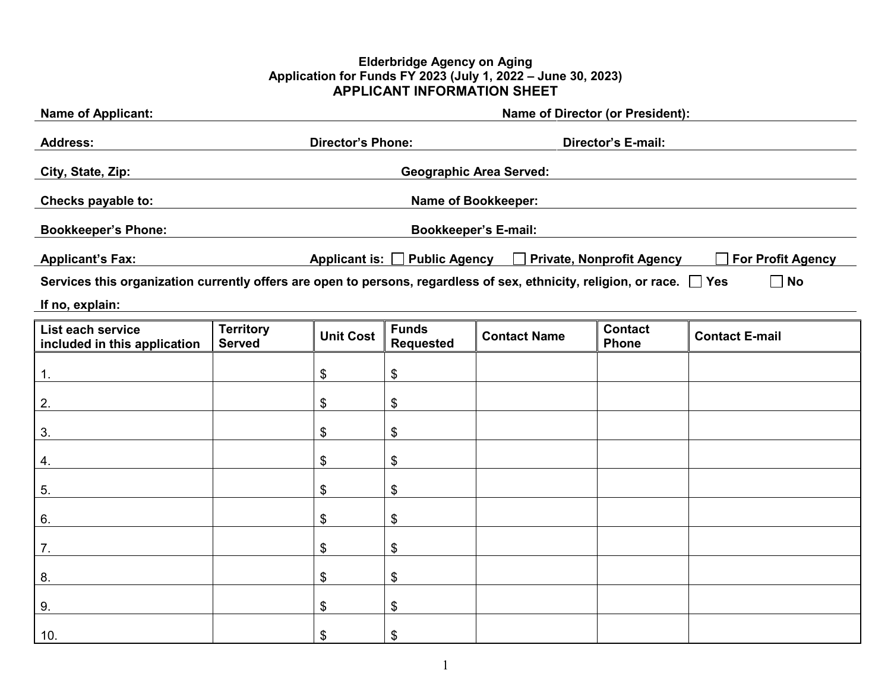#### **Elderbridge Agency on Aging Application for Funds FY 2023 (July 1, 2022 – June 30, 2023) APPLICANT INFORMATION SHEET**

| <b>Name of Applicant:</b>                                                                                                    |                                                | <b>Name of Director (or President):</b> |                                  |                                                           |                                |                          |
|------------------------------------------------------------------------------------------------------------------------------|------------------------------------------------|-----------------------------------------|----------------------------------|-----------------------------------------------------------|--------------------------------|--------------------------|
| <b>Address:</b>                                                                                                              | Director's E-mail:<br><b>Director's Phone:</b> |                                         |                                  |                                                           |                                |                          |
| City, State, Zip:                                                                                                            | <b>Geographic Area Served:</b>                 |                                         |                                  |                                                           |                                |                          |
| Checks payable to:                                                                                                           |                                                |                                         |                                  | <b>Name of Bookkeeper:</b>                                |                                |                          |
| <b>Bookkeeper's Phone:</b>                                                                                                   |                                                |                                         |                                  | <b>Bookkeeper's E-mail:</b>                               |                                |                          |
|                                                                                                                              |                                                |                                         |                                  |                                                           |                                |                          |
| <b>Applicant's Fax:</b>                                                                                                      |                                                |                                         |                                  | Applicant is: □ Public Agency □ Private, Nonprofit Agency |                                | <b>For Profit Agency</b> |
| Services this organization currently offers are open to persons, regardless of sex, ethnicity, religion, or race. $\Box$ Yes |                                                |                                         |                                  |                                                           |                                | No<br>$\sim$             |
| If no, explain:                                                                                                              |                                                |                                         |                                  |                                                           |                                |                          |
| List each service<br>included in this application                                                                            | <b>Territory</b><br><b>Served</b>              | <b>Unit Cost</b>                        | <b>Funds</b><br><b>Requested</b> | <b>Contact Name</b>                                       | <b>Contact</b><br><b>Phone</b> | <b>Contact E-mail</b>    |
| 1.                                                                                                                           |                                                | \$                                      | \$                               |                                                           |                                |                          |
| 2.                                                                                                                           |                                                | \$                                      | \$                               |                                                           |                                |                          |
| 3.                                                                                                                           |                                                | \$                                      | \$                               |                                                           |                                |                          |
| 4.                                                                                                                           |                                                | \$                                      | \$                               |                                                           |                                |                          |
| 5.                                                                                                                           |                                                | \$                                      | \$                               |                                                           |                                |                          |
| 6.                                                                                                                           |                                                | \$                                      | \$                               |                                                           |                                |                          |
| 7.                                                                                                                           |                                                | \$                                      | \$                               |                                                           |                                |                          |
| 8.                                                                                                                           |                                                | \$                                      | \$                               |                                                           |                                |                          |
| 9.                                                                                                                           |                                                | \$                                      | \$                               |                                                           |                                |                          |
| 10.                                                                                                                          |                                                | \$                                      | \$                               |                                                           |                                |                          |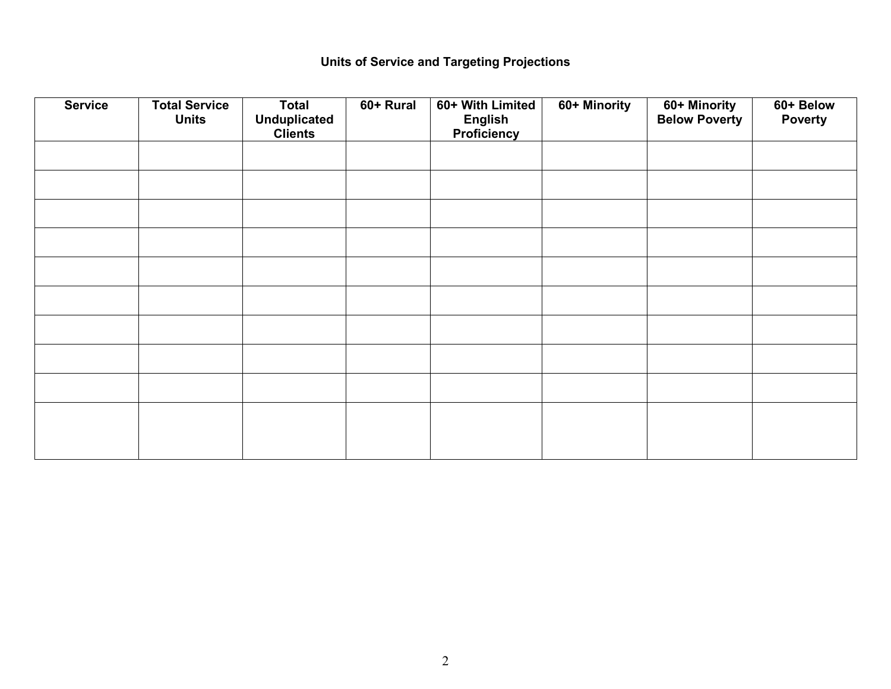# **Units of Service and Targeting Projections**

| <b>Service</b> | <b>Total Service</b><br><b>Units</b> | <b>Total</b><br><b>Unduplicated</b><br><b>Clients</b> | 60+ Rural | 60+ With Limited<br><b>English</b><br>Proficiency | 60+ Minority | 60+ Minority<br>Below Poverty | 60+ Below<br><b>Poverty</b> |
|----------------|--------------------------------------|-------------------------------------------------------|-----------|---------------------------------------------------|--------------|-------------------------------|-----------------------------|
|                |                                      |                                                       |           |                                                   |              |                               |                             |
|                |                                      |                                                       |           |                                                   |              |                               |                             |
|                |                                      |                                                       |           |                                                   |              |                               |                             |
|                |                                      |                                                       |           |                                                   |              |                               |                             |
|                |                                      |                                                       |           |                                                   |              |                               |                             |
|                |                                      |                                                       |           |                                                   |              |                               |                             |
|                |                                      |                                                       |           |                                                   |              |                               |                             |
|                |                                      |                                                       |           |                                                   |              |                               |                             |
|                |                                      |                                                       |           |                                                   |              |                               |                             |
|                |                                      |                                                       |           |                                                   |              |                               |                             |
|                |                                      |                                                       |           |                                                   |              |                               |                             |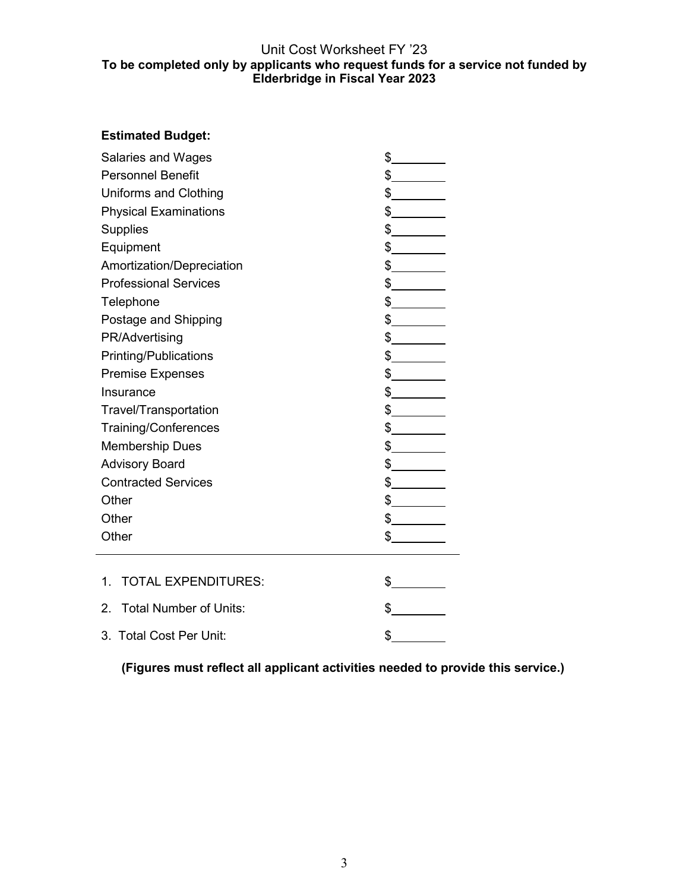### Unit Cost Worksheet FY '23 **To be completed only by applicants who request funds for a service not funded by Elderbridge in Fiscal Year 2023**

## **Estimated Budget:**

| <b>Salaries and Wages</b>             | $\frac{1}{2}$ |  |  |  |
|---------------------------------------|---------------|--|--|--|
| <b>Personnel Benefit</b>              | $\frac{1}{2}$ |  |  |  |
| Uniforms and Clothing                 | $\frac{1}{2}$ |  |  |  |
| <b>Physical Examinations</b>          | $\frac{1}{2}$ |  |  |  |
| <b>Supplies</b>                       | $\frac{1}{2}$ |  |  |  |
| Equipment                             | $\frac{1}{2}$ |  |  |  |
| Amortization/Depreciation             | $\frac{1}{2}$ |  |  |  |
| <b>Professional Services</b>          | $\frac{1}{2}$ |  |  |  |
| Telephone                             | $\frac{1}{2}$ |  |  |  |
| Postage and Shipping                  | $\frac{1}{2}$ |  |  |  |
| PR/Advertising                        | $\frac{1}{2}$ |  |  |  |
| <b>Printing/Publications</b>          | $\frac{1}{2}$ |  |  |  |
| <b>Premise Expenses</b>               | $\frac{1}{2}$ |  |  |  |
| Insurance                             | $\frac{1}{2}$ |  |  |  |
| Travel/Transportation                 | $\frac{1}{2}$ |  |  |  |
| <b>Training/Conferences</b>           | $\frac{1}{2}$ |  |  |  |
| <b>Membership Dues</b>                | $\frac{1}{2}$ |  |  |  |
| <b>Advisory Board</b>                 | $\frac{1}{2}$ |  |  |  |
| <b>Contracted Services</b>            | $\frac{1}{2}$ |  |  |  |
| Other                                 | $\frac{1}{2}$ |  |  |  |
| Other                                 | $\frac{1}{2}$ |  |  |  |
| Other                                 | $\frac{1}{2}$ |  |  |  |
| <b>TOTAL EXPENDITURES:</b><br>$1_{-}$ |               |  |  |  |
|                                       | $\sim$        |  |  |  |
| <b>Total Number of Units:</b><br>2.   | \$            |  |  |  |
| 3. Total Cost Per Unit:               | \$            |  |  |  |

**(Figures must reflect all applicant activities needed to provide this service.)**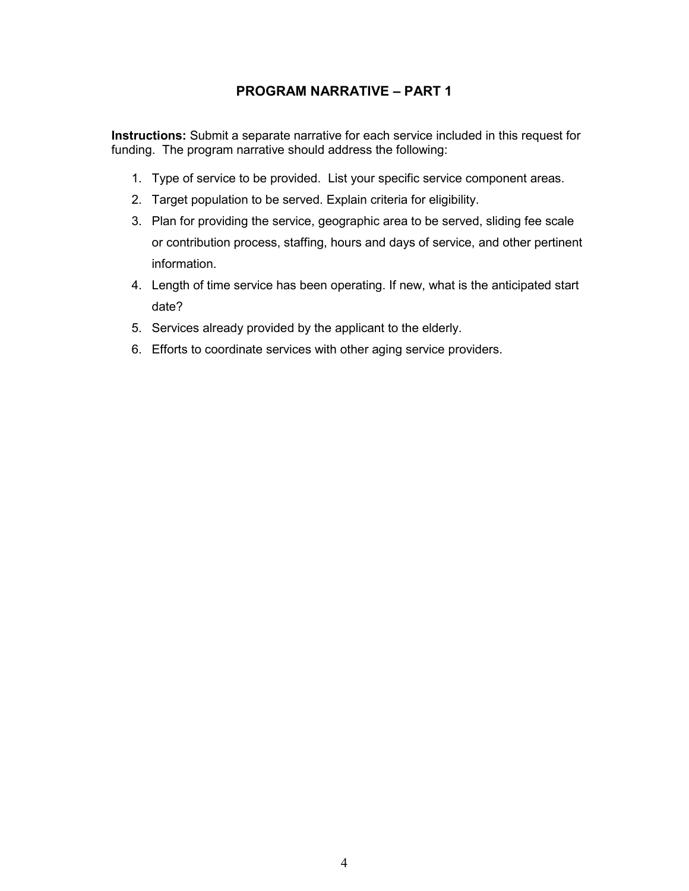## **PROGRAM NARRATIVE – PART 1**

**Instructions:** Submit a separate narrative for each service included in this request for funding. The program narrative should address the following:

- 1. Type of service to be provided. List your specific service component areas.
- 2. Target population to be served. Explain criteria for eligibility.
- 3. Plan for providing the service, geographic area to be served, sliding fee scale or contribution process, staffing, hours and days of service, and other pertinent information.
- 4. Length of time service has been operating. If new, what is the anticipated start date?
- 5. Services already provided by the applicant to the elderly.
- 6. Efforts to coordinate services with other aging service providers.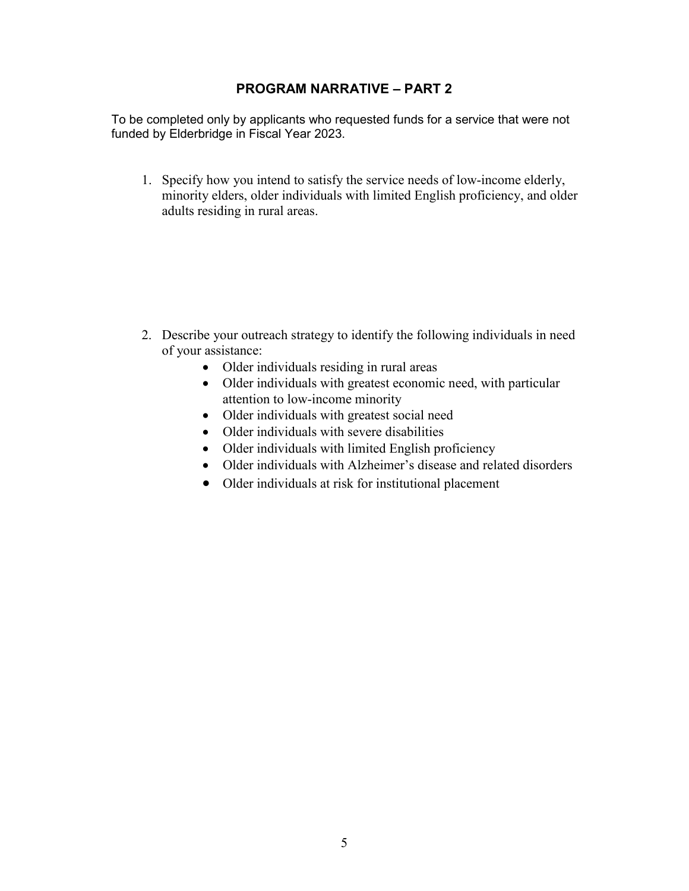## **PROGRAM NARRATIVE – PART 2**

To be completed only by applicants who requested funds for a service that were not funded by Elderbridge in Fiscal Year 2023.

1. Specify how you intend to satisfy the service needs of low-income elderly, minority elders, older individuals with limited English proficiency, and older adults residing in rural areas.

- 2. Describe your outreach strategy to identify the following individuals in need of your assistance:
	- Older individuals residing in rural areas
	- Older individuals with greatest economic need, with particular attention to low-income minority
	- Older individuals with greatest social need
	- Older individuals with severe disabilities
	- Older individuals with limited English proficiency
	- Older individuals with Alzheimer's disease and related disorders
	- Older individuals at risk for institutional placement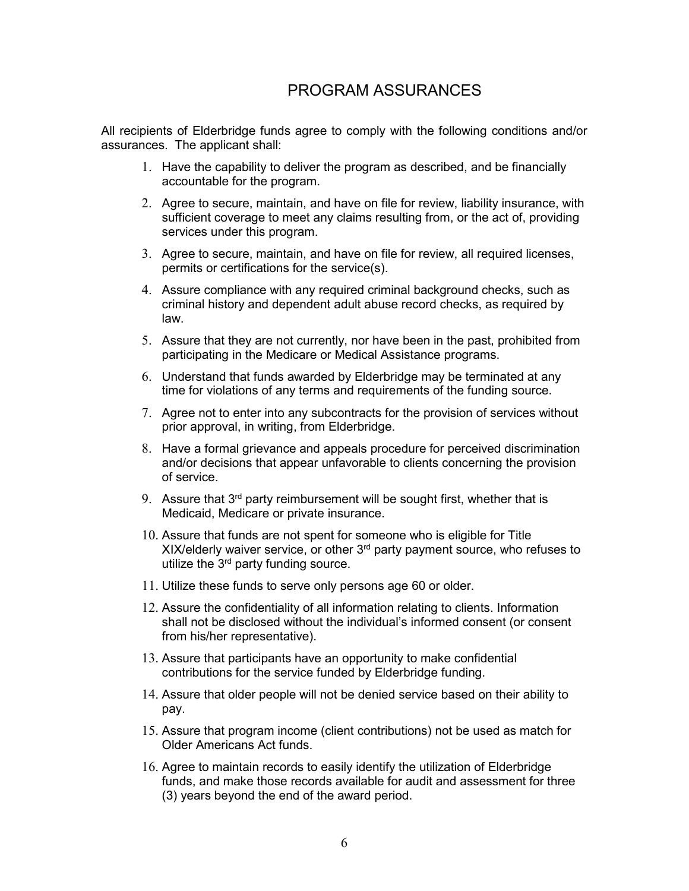# PROGRAM ASSURANCES

All recipients of Elderbridge funds agree to comply with the following conditions and/or assurances. The applicant shall:

- 1. Have the capability to deliver the program as described, and be financially accountable for the program.
- 2. Agree to secure, maintain, and have on file for review, liability insurance, with sufficient coverage to meet any claims resulting from, or the act of, providing services under this program.
- 3. Agree to secure, maintain, and have on file for review, all required licenses, permits or certifications for the service(s).
- 4. Assure compliance with any required criminal background checks, such as criminal history and dependent adult abuse record checks, as required by law.
- 5. Assure that they are not currently, nor have been in the past, prohibited from participating in the Medicare or Medical Assistance programs.
- 6. Understand that funds awarded by Elderbridge may be terminated at any time for violations of any terms and requirements of the funding source.
- 7. Agree not to enter into any subcontracts for the provision of services without prior approval, in writing, from Elderbridge.
- 8. Have a formal grievance and appeals procedure for perceived discrimination and/or decisions that appear unfavorable to clients concerning the provision of service.
- 9. Assure that 3<sup>rd</sup> party reimbursement will be sought first, whether that is Medicaid, Medicare or private insurance.
- 10. Assure that funds are not spent for someone who is eligible for Title XIX/elderly waiver service, or other 3<sup>rd</sup> party payment source, who refuses to utilize the  $3<sup>rd</sup>$  party funding source.
- 11. Utilize these funds to serve only persons age 60 or older.
- 12. Assure the confidentiality of all information relating to clients. Information shall not be disclosed without the individual's informed consent (or consent from his/her representative).
- 13. Assure that participants have an opportunity to make confidential contributions for the service funded by Elderbridge funding.
- 14. Assure that older people will not be denied service based on their ability to pay.
- 15. Assure that program income (client contributions) not be used as match for Older Americans Act funds.
- 16. Agree to maintain records to easily identify the utilization of Elderbridge funds, and make those records available for audit and assessment for three (3) years beyond the end of the award period.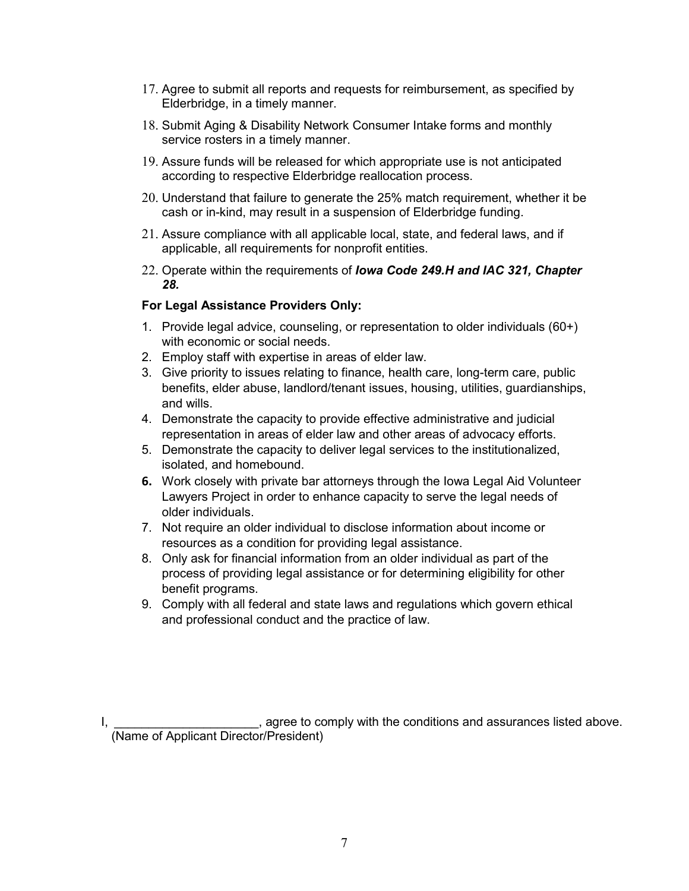- 17. Agree to submit all reports and requests for reimbursement, as specified by Elderbridge, in a timely manner.
- 18. Submit Aging & Disability Network Consumer Intake forms and monthly service rosters in a timely manner.
- 19. Assure funds will be released for which appropriate use is not anticipated according to respective Elderbridge reallocation process.
- 20. Understand that failure to generate the 25% match requirement, whether it be cash or in-kind, may result in a suspension of Elderbridge funding.
- 21. Assure compliance with all applicable local, state, and federal laws, and if applicable, all requirements for nonprofit entities.
- 22. Operate within the requirements of *Iowa Code 249.H and IAC 321, Chapter 28.*

#### **For Legal Assistance Providers Only:**

- 1. Provide legal advice, counseling, or representation to older individuals (60+) with economic or social needs.
- 2. Employ staff with expertise in areas of elder law.
- 3. Give priority to issues relating to finance, health care, long-term care, public benefits, elder abuse, landlord/tenant issues, housing, utilities, guardianships, and wills.
- 4. Demonstrate the capacity to provide effective administrative and judicial representation in areas of elder law and other areas of advocacy efforts.
- 5. Demonstrate the capacity to deliver legal services to the institutionalized, isolated, and homebound.
- **6.** Work closely with private bar attorneys through the Iowa Legal Aid Volunteer Lawyers Project in order to enhance capacity to serve the legal needs of older individuals.
- 7. Not require an older individual to disclose information about income or resources as a condition for providing legal assistance.
- 8. Only ask for financial information from an older individual as part of the process of providing legal assistance or for determining eligibility for other benefit programs.
- 9. Comply with all federal and state laws and regulations which govern ethical and professional conduct and the practice of law.

1, agree to comply with the conditions and assurances listed above. (Name of Applicant Director/President)